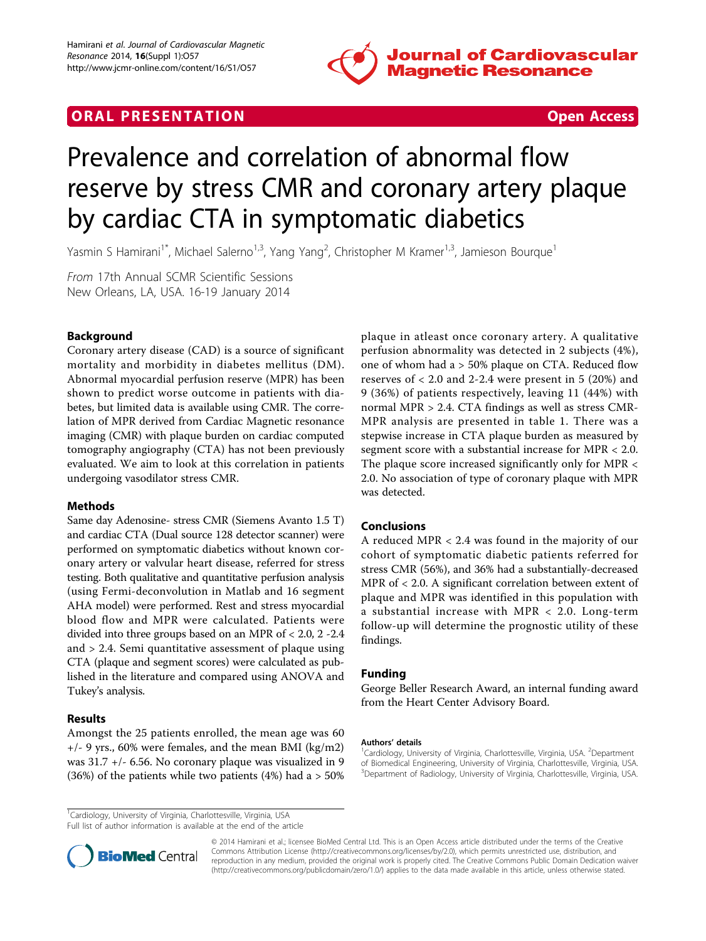

# **ORAL PRESENTATION CONSUMING ACCESS**



# Prevalence and correlation of abnormal flow reserve by stress CMR and coronary artery plaque by cardiac CTA in symptomatic diabetics

Yasmin S Hamirani<sup>1\*</sup>, Michael Salerno<sup>1,3</sup>, Yang Yang<sup>2</sup>, Christopher M Kramer<sup>1,3</sup>, Jamieson Bourque<sup>1</sup>

From 17th Annual SCMR Scientific Sessions New Orleans, LA, USA. 16-19 January 2014

## Background

Coronary artery disease (CAD) is a source of significant mortality and morbidity in diabetes mellitus (DM). Abnormal myocardial perfusion reserve (MPR) has been shown to predict worse outcome in patients with diabetes, but limited data is available using CMR. The correlation of MPR derived from Cardiac Magnetic resonance imaging (CMR) with plaque burden on cardiac computed tomography angiography (CTA) has not been previously evaluated. We aim to look at this correlation in patients undergoing vasodilator stress CMR.

#### **Methods**

Same day Adenosine- stress CMR (Siemens Avanto 1.5 T) and cardiac CTA (Dual source 128 detector scanner) were performed on symptomatic diabetics without known coronary artery or valvular heart disease, referred for stress testing. Both qualitative and quantitative perfusion analysis (using Fermi-deconvolution in Matlab and 16 segment AHA model) were performed. Rest and stress myocardial blood flow and MPR were calculated. Patients were divided into three groups based on an MPR of < 2.0, 2 -2.4 and > 2.4. Semi quantitative assessment of plaque using CTA (plaque and segment scores) were calculated as published in the literature and compared using ANOVA and Tukey's analysis.

## Results

Amongst the 25 patients enrolled, the mean age was 60 +/- 9 yrs., 60% were females, and the mean BMI (kg/m2) was 31.7 +/- 6.56. No coronary plaque was visualized in 9 (36%) of the patients while two patients (4%) had a  $> 50\%$  plaque in atleast once coronary artery. A qualitative perfusion abnormality was detected in 2 subjects (4%), one of whom had a > 50% plaque on CTA. Reduced flow reserves of  $< 2.0$  and 2-2.4 were present in 5 (20%) and 9 (36%) of patients respectively, leaving 11 (44%) with normal MPR > 2.4. CTA findings as well as stress CMR-MPR analysis are presented in table [1.](#page-1-0) There was a stepwise increase in CTA plaque burden as measured by segment score with a substantial increase for MPR < 2.0. The plaque score increased significantly only for MPR < 2.0. No association of type of coronary plaque with MPR was detected.

## Conclusions

A reduced MPR < 2.4 was found in the majority of our cohort of symptomatic diabetic patients referred for stress CMR (56%), and 36% had a substantially-decreased MPR of < 2.0. A significant correlation between extent of plaque and MPR was identified in this population with a substantial increase with MPR < 2.0. Long-term follow-up will determine the prognostic utility of these findings.

## Funding

George Beller Research Award, an internal funding award from the Heart Center Advisory Board.

#### Authors' details <sup>1</sup>

Cardiology, University of Virginia, Charlottesville, Virginia, USA. <sup>2</sup>Department of Biomedical Engineering, University of Virginia, Charlottesville, Virginia, USA. <sup>3</sup>Department of Radiology, University of Virginia, Charlottesville, Virginia, USA.

<sup>1</sup>Cardiology, University of Virginia, Charlottesville, Virginia, USA

Full list of author information is available at the end of the article



© 2014 Hamirani et al.; licensee BioMed Central Ltd. This is an Open Access article distributed under the terms of the Creative Commons Attribution License [\(http://creativecommons.org/licenses/by/2.0](http://creativecommons.org/licenses/by/2.0)), which permits unrestricted use, distribution, and reproduction in any medium, provided the original work is properly cited. The Creative Commons Public Domain Dedication waiver [\(http://creativecommons.org/publicdomain/zero/1.0/](http://creativecommons.org/publicdomain/zero/1.0/)) applies to the data made available in this article, unless otherwise stated.